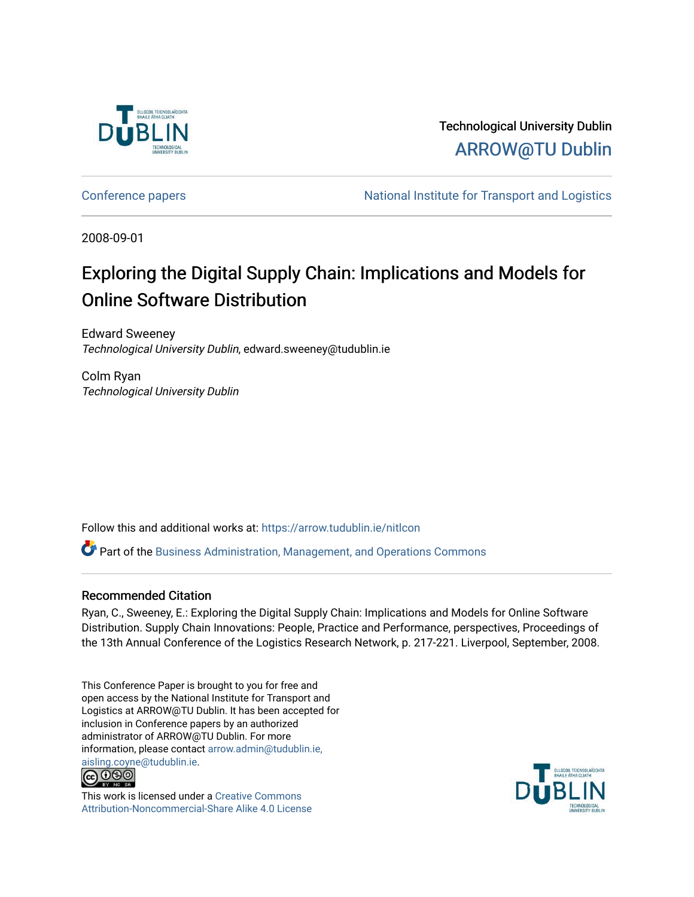

Technological University Dublin [ARROW@TU Dublin](https://arrow.tudublin.ie/) 

[Conference papers](https://arrow.tudublin.ie/nitlcon) **National Institute for Transport and Logistics** Conference papers

2008-09-01

# Exploring the Digital Supply Chain: Implications and Models for Online Software Distribution

Edward Sweeney Technological University Dublin, edward.sweeney@tudublin.ie

Colm Ryan Technological University Dublin

Follow this and additional works at: [https://arrow.tudublin.ie/nitlcon](https://arrow.tudublin.ie/nitlcon?utm_source=arrow.tudublin.ie%2Fnitlcon%2F12&utm_medium=PDF&utm_campaign=PDFCoverPages) 

 $\bullet$  Part of the [Business Administration, Management, and Operations Commons](http://network.bepress.com/hgg/discipline/623?utm_source=arrow.tudublin.ie%2Fnitlcon%2F12&utm_medium=PDF&utm_campaign=PDFCoverPages)

#### Recommended Citation

Ryan, C., Sweeney, E.: Exploring the Digital Supply Chain: Implications and Models for Online Software Distribution. Supply Chain Innovations: People, Practice and Performance, perspectives, Proceedings of the 13th Annual Conference of the Logistics Research Network, p. 217-221. Liverpool, September, 2008.

This Conference Paper is brought to you for free and open access by the National Institute for Transport and Logistics at ARROW@TU Dublin. It has been accepted for inclusion in Conference papers by an authorized administrator of ARROW@TU Dublin. For more information, please contact [arrow.admin@tudublin.ie,](mailto:arrow.admin@tudublin.ie,%20aisling.coyne@tudublin.ie)  [aisling.coyne@tudublin.ie.](mailto:arrow.admin@tudublin.ie,%20aisling.coyne@tudublin.ie)<br>© 090



This work is licensed under a [Creative Commons](http://creativecommons.org/licenses/by-nc-sa/4.0/) [Attribution-Noncommercial-Share Alike 4.0 License](http://creativecommons.org/licenses/by-nc-sa/4.0/)

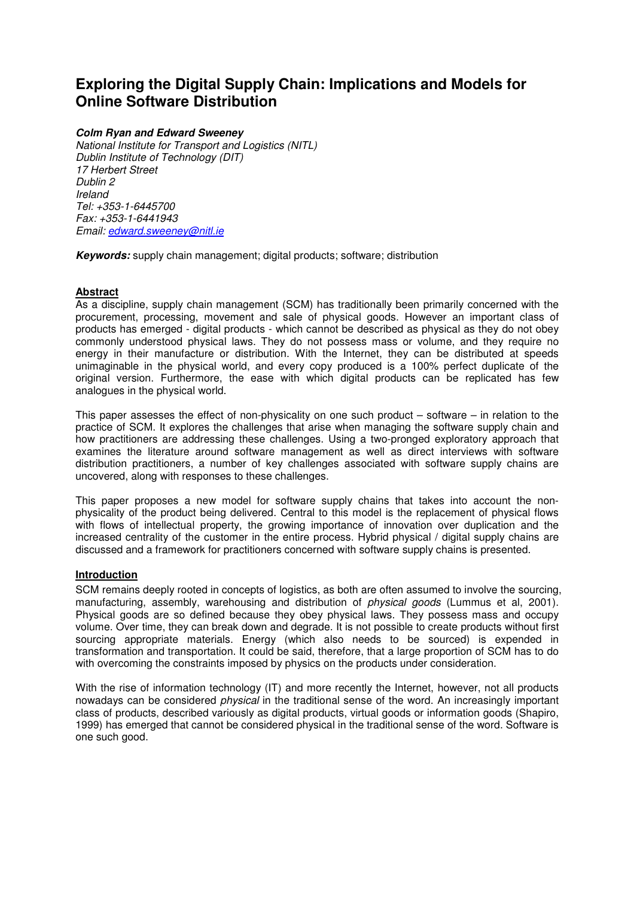# **Exploring the Digital Supply Chain: Implications and Models for Online Software Distribution**

#### **Colm Ryan and Edward Sweeney**

National Institute for Transport and Logistics (NITL) Dublin Institute of Technology (DIT) 17 Herbert Street Dublin 2 Ireland Tel: +353-1-6445700 Fax: +353-1-6441943 Email: edward.sweeney@nitl.ie

**Keywords:** supply chain management; digital products; software; distribution

## **Abstract**

As a discipline, supply chain management (SCM) has traditionally been primarily concerned with the procurement, processing, movement and sale of physical goods. However an important class of products has emerged - digital products - which cannot be described as physical as they do not obey commonly understood physical laws. They do not possess mass or volume, and they require no energy in their manufacture or distribution. With the Internet, they can be distributed at speeds unimaginable in the physical world, and every copy produced is a 100% perfect duplicate of the original version. Furthermore, the ease with which digital products can be replicated has few analogues in the physical world.

This paper assesses the effect of non-physicality on one such product – software – in relation to the practice of SCM. It explores the challenges that arise when managing the software supply chain and how practitioners are addressing these challenges. Using a two-pronged exploratory approach that examines the literature around software management as well as direct interviews with software distribution practitioners, a number of key challenges associated with software supply chains are uncovered, along with responses to these challenges.

This paper proposes a new model for software supply chains that takes into account the nonphysicality of the product being delivered. Central to this model is the replacement of physical flows with flows of intellectual property, the growing importance of innovation over duplication and the increased centrality of the customer in the entire process. Hybrid physical / digital supply chains are discussed and a framework for practitioners concerned with software supply chains is presented.

#### **Introduction**

SCM remains deeply rooted in concepts of logistics, as both are often assumed to involve the sourcing, manufacturing, assembly, warehousing and distribution of physical goods (Lummus et al, 2001). Physical goods are so defined because they obey physical laws. They possess mass and occupy volume. Over time, they can break down and degrade. It is not possible to create products without first sourcing appropriate materials. Energy (which also needs to be sourced) is expended in transformation and transportation. It could be said, therefore, that a large proportion of SCM has to do with overcoming the constraints imposed by physics on the products under consideration.

With the rise of information technology (IT) and more recently the Internet, however, not all products nowadays can be considered *physical* in the traditional sense of the word. An increasingly important class of products, described variously as digital products, virtual goods or information goods (Shapiro, 1999) has emerged that cannot be considered physical in the traditional sense of the word. Software is one such good.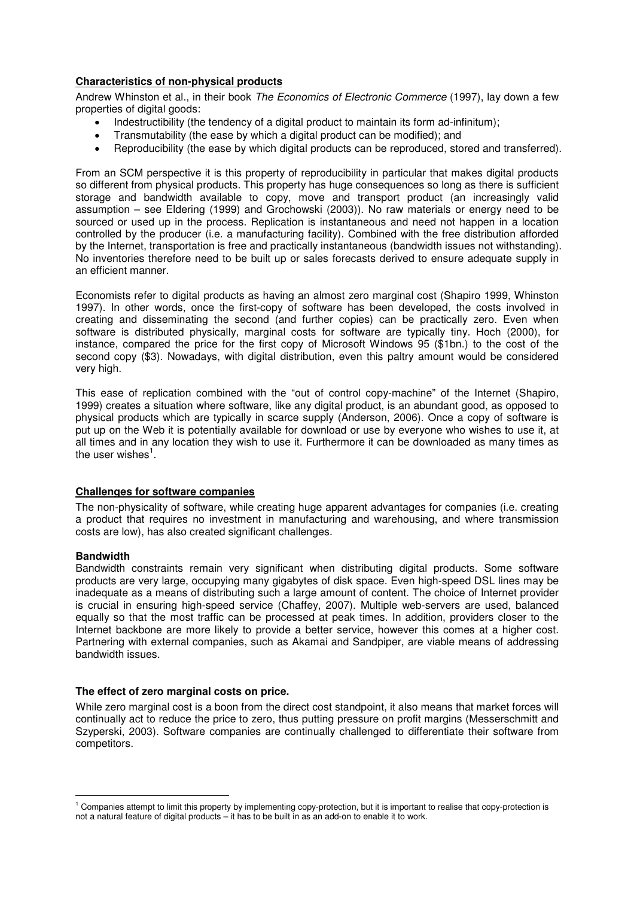#### **Characteristics of non-physical products**

Andrew Whinston et al., in their book The Economics of Electronic Commerce (1997), lay down a few properties of digital goods:

- Indestructibility (the tendency of a digital product to maintain its form ad-infinitum);
- Transmutability (the ease by which a digital product can be modified); and
- Reproducibility (the ease by which digital products can be reproduced, stored and transferred).

From an SCM perspective it is this property of reproducibility in particular that makes digital products so different from physical products. This property has huge consequences so long as there is sufficient storage and bandwidth available to copy, move and transport product (an increasingly valid assumption – see Eldering (1999) and Grochowski (2003)). No raw materials or energy need to be sourced or used up in the process. Replication is instantaneous and need not happen in a location controlled by the producer (i.e. a manufacturing facility). Combined with the free distribution afforded by the Internet, transportation is free and practically instantaneous (bandwidth issues not withstanding). No inventories therefore need to be built up or sales forecasts derived to ensure adequate supply in an efficient manner.

Economists refer to digital products as having an almost zero marginal cost (Shapiro 1999, Whinston 1997). In other words, once the first-copy of software has been developed, the costs involved in creating and disseminating the second (and further copies) can be practically zero. Even when software is distributed physically, marginal costs for software are typically tiny. Hoch (2000), for instance, compared the price for the first copy of Microsoft Windows 95 (\$1bn.) to the cost of the second copy (\$3). Nowadays, with digital distribution, even this paltry amount would be considered very high.

This ease of replication combined with the "out of control copy-machine" of the Internet (Shapiro, 1999) creates a situation where software, like any digital product, is an abundant good, as opposed to physical products which are typically in scarce supply (Anderson, 2006). Once a copy of software is put up on the Web it is potentially available for download or use by everyone who wishes to use it, at all times and in any location they wish to use it. Furthermore it can be downloaded as many times as the user wishes $^{\rm 1}.$ 

#### **Challenges for software companies**

The non-physicality of software, while creating huge apparent advantages for companies (i.e. creating a product that requires no investment in manufacturing and warehousing, and where transmission costs are low), has also created significant challenges.

#### **Bandwidth**

l

Bandwidth constraints remain very significant when distributing digital products. Some software products are very large, occupying many gigabytes of disk space. Even high-speed DSL lines may be inadequate as a means of distributing such a large amount of content. The choice of Internet provider is crucial in ensuring high-speed service (Chaffey, 2007). Multiple web-servers are used, balanced equally so that the most traffic can be processed at peak times. In addition, providers closer to the Internet backbone are more likely to provide a better service, however this comes at a higher cost. Partnering with external companies, such as Akamai and Sandpiper, are viable means of addressing bandwidth issues.

#### **The effect of zero marginal costs on price.**

While zero marginal cost is a boon from the direct cost standpoint, it also means that market forces will continually act to reduce the price to zero, thus putting pressure on profit margins (Messerschmitt and Szyperski, 2003). Software companies are continually challenged to differentiate their software from competitors.

<sup>&</sup>lt;sup>1</sup> Companies attempt to limit this property by implementing copy-protection, but it is important to realise that copy-protection is not a natural feature of digital products – it has to be built in as an add-on to enable it to work.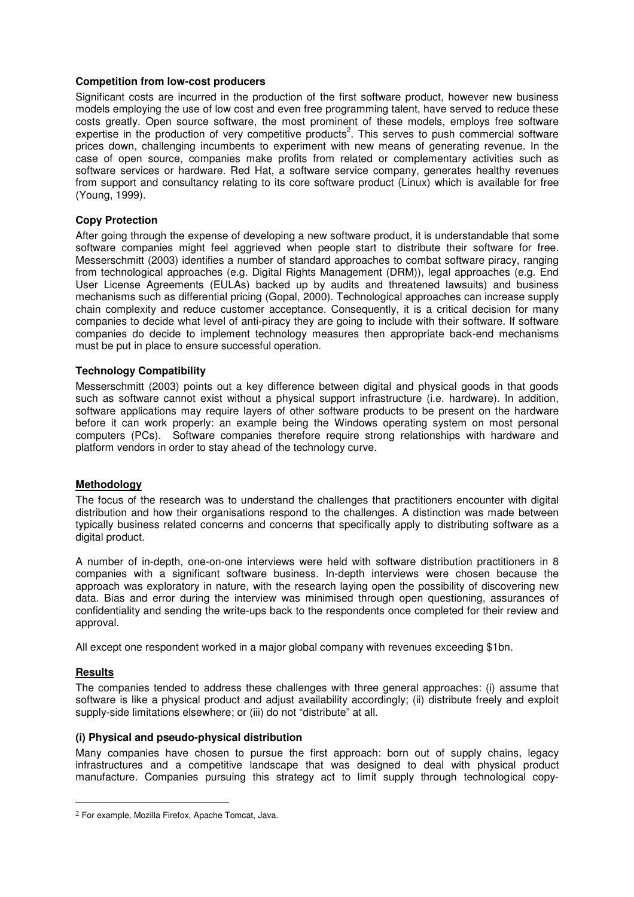#### **Competition from low-cost producers**

Significant costs are incurred in the production of the first software product, however new business models employing the use of low cost and even free programming talent, have served to reduce these costs greatly. Open source software, the most prominent of these models, employs free software expertise in the production of very competitive products<sup>2</sup>. This serves to push commercial software prices down, challenging incumbents to experiment with new means of generating revenue. In the case of open source, companies make profits from related or complementary activities such as software services or hardware. Red Hat, a software service company, generates healthy revenues from support and consultancy relating to its core software product (Linux) which is available for free (Young, 1999).

#### **Copy Protection**

After going through the expense of developing a new software product, it is understandable that some software companies might feel aggrieved when people start to distribute their software for free. Messerschmitt (2003) identifies a number of standard approaches to combat software piracy, ranging from technological approaches (e.g. Digital Rights Management (DRM)), legal approaches (e.g. End User License Agreements (EULAs) backed up by audits and threatened lawsuits) and business mechanisms such as differential pricing (Gopal, 2000). Technological approaches can increase supply chain complexity and reduce customer acceptance. Consequently, it is a critical decision for many companies to decide what level of anti-piracy they are going to include with their software. If software companies do decide to implement technology measures then appropriate back-end mechanisms must be put in place to ensure successful operation.

#### **Technology Compatibility**

Messerschmitt (2003) points out a key difference between digital and physical goods in that goods such as software cannot exist without a physical support infrastructure (i.e. hardware). In addition, software applications may require layers of other software products to be present on the hardware before it can work properly: an example being the Windows operating system on most personal computers (PCs). Software companies therefore require strong relationships with hardware and platform vendors in order to stay ahead of the technology curve.

#### **Methodology**

The focus of the research was to understand the challenges that practitioners encounter with digital distribution and how their organisations respond to the challenges. A distinction was made between typically business related concerns and concerns that specifically apply to distributing software as a digital product.

A number of in-depth, one-on-one interviews were held with software distribution practitioners in 8 companies with a significant software business. In-depth interviews were chosen because the approach was exploratory in nature, with the research laying open the possibility of discovering new data. Bias and error during the interview was minimised through open questioning, assurances of confidentiality and sending the write-ups back to the respondents once completed for their review and approval.

All except one respondent worked in a major global company with revenues exceeding \$1bn.

#### **Results**

l

The companies tended to address these challenges with three general approaches: (i) assume that software is like a physical product and adjust availability accordingly; (ii) distribute freely and exploit supply-side limitations elsewhere; or (iii) do not "distribute" at all.

#### **(i) Physical and pseudo-physical distribution**

Many companies have chosen to pursue the first approach: born out of supply chains, legacy infrastructures and a competitive landscape that was designed to deal with physical product manufacture. Companies pursuing this strategy act to limit supply through technological copy-

<sup>2</sup> For example, Mozilla Firefox, Apache Tomcat, Java.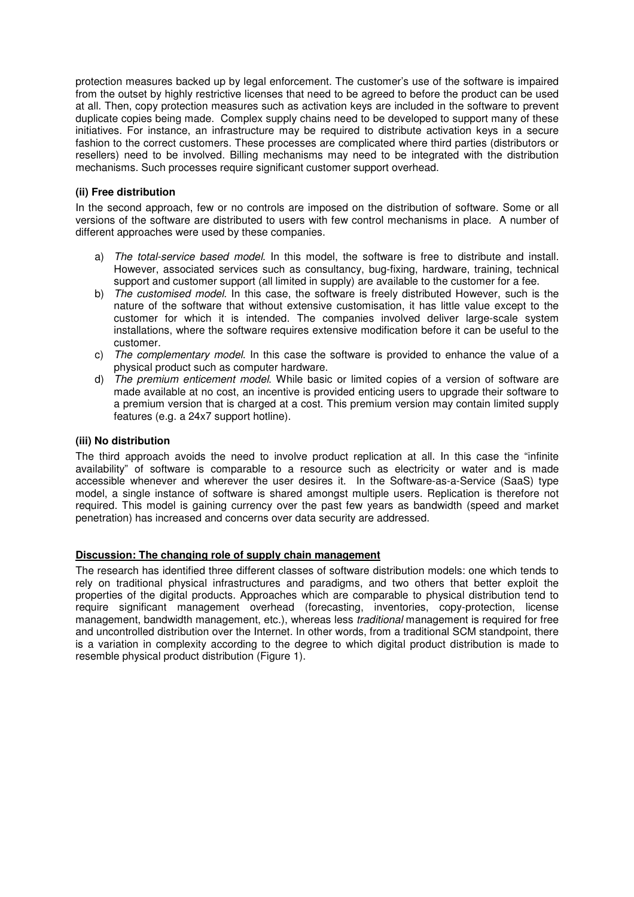protection measures backed up by legal enforcement. The customer's use of the software is impaired from the outset by highly restrictive licenses that need to be agreed to before the product can be used at all. Then, copy protection measures such as activation keys are included in the software to prevent duplicate copies being made. Complex supply chains need to be developed to support many of these initiatives. For instance, an infrastructure may be required to distribute activation keys in a secure fashion to the correct customers. These processes are complicated where third parties (distributors or resellers) need to be involved. Billing mechanisms may need to be integrated with the distribution mechanisms. Such processes require significant customer support overhead.

#### **(ii) Free distribution**

In the second approach, few or no controls are imposed on the distribution of software. Some or all versions of the software are distributed to users with few control mechanisms in place. A number of different approaches were used by these companies.

- a) The total-service based model. In this model, the software is free to distribute and install. However, associated services such as consultancy, bug-fixing, hardware, training, technical support and customer support (all limited in supply) are available to the customer for a fee.
- b) The customised model. In this case, the software is freely distributed However, such is the nature of the software that without extensive customisation, it has little value except to the customer for which it is intended. The companies involved deliver large-scale system installations, where the software requires extensive modification before it can be useful to the customer.
- c) The complementary model. In this case the software is provided to enhance the value of a physical product such as computer hardware.
- d) The premium enticement model. While basic or limited copies of a version of software are made available at no cost, an incentive is provided enticing users to upgrade their software to a premium version that is charged at a cost. This premium version may contain limited supply features (e.g. a 24x7 support hotline).

## **(iii) No distribution**

The third approach avoids the need to involve product replication at all. In this case the "infinite availability" of software is comparable to a resource such as electricity or water and is made accessible whenever and wherever the user desires it. In the Software-as-a-Service (SaaS) type model, a single instance of software is shared amongst multiple users. Replication is therefore not required. This model is gaining currency over the past few years as bandwidth (speed and market penetration) has increased and concerns over data security are addressed.

#### **Discussion: The changing role of supply chain management**

The research has identified three different classes of software distribution models: one which tends to rely on traditional physical infrastructures and paradigms, and two others that better exploit the properties of the digital products. Approaches which are comparable to physical distribution tend to require significant management overhead (forecasting, inventories, copy-protection, license management, bandwidth management, etc.), whereas less traditional management is required for free and uncontrolled distribution over the Internet. In other words, from a traditional SCM standpoint, there is a variation in complexity according to the degree to which digital product distribution is made to resemble physical product distribution (Figure 1).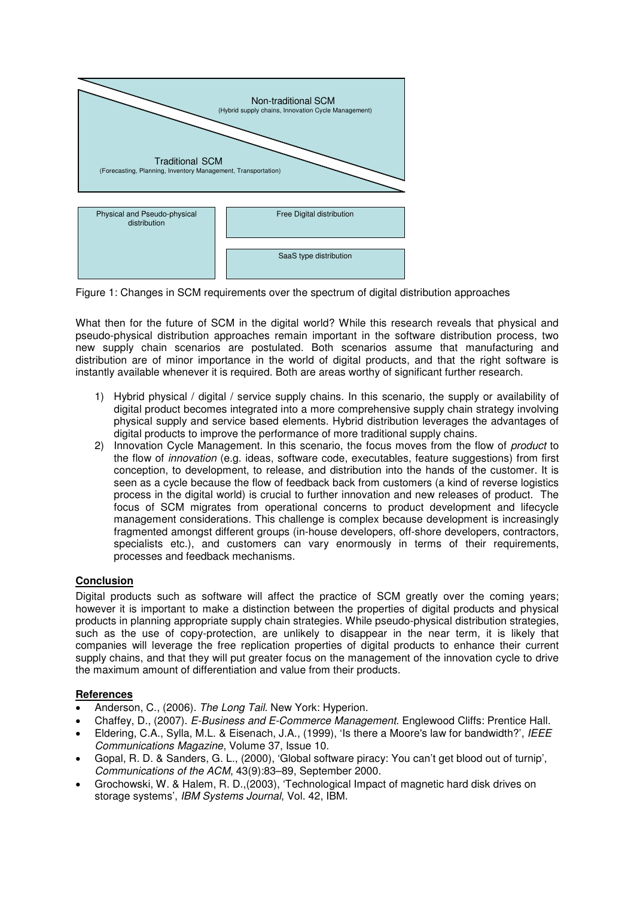

Figure 1: Changes in SCM requirements over the spectrum of digital distribution approaches

What then for the future of SCM in the digital world? While this research reveals that physical and pseudo-physical distribution approaches remain important in the software distribution process, two new supply chain scenarios are postulated. Both scenarios assume that manufacturing and distribution are of minor importance in the world of digital products, and that the right software is instantly available whenever it is required. Both are areas worthy of significant further research.

- 1) Hybrid physical / digital / service supply chains. In this scenario, the supply or availability of digital product becomes integrated into a more comprehensive supply chain strategy involving physical supply and service based elements. Hybrid distribution leverages the advantages of digital products to improve the performance of more traditional supply chains.
- 2) Innovation Cycle Management. In this scenario, the focus moves from the flow of *product* to the flow of innovation (e.g. ideas, software code, executables, feature suggestions) from first conception, to development, to release, and distribution into the hands of the customer. It is seen as a cycle because the flow of feedback back from customers (a kind of reverse logistics process in the digital world) is crucial to further innovation and new releases of product. The focus of SCM migrates from operational concerns to product development and lifecycle management considerations. This challenge is complex because development is increasingly fragmented amongst different groups (in-house developers, off-shore developers, contractors, specialists etc.), and customers can vary enormously in terms of their requirements, processes and feedback mechanisms.

# **Conclusion**

Digital products such as software will affect the practice of SCM greatly over the coming years; however it is important to make a distinction between the properties of digital products and physical products in planning appropriate supply chain strategies. While pseudo-physical distribution strategies, such as the use of copy-protection, are unlikely to disappear in the near term, it is likely that companies will leverage the free replication properties of digital products to enhance their current supply chains, and that they will put greater focus on the management of the innovation cycle to drive the maximum amount of differentiation and value from their products.

#### **References**

- Anderson, C., (2006). The Long Tail. New York: Hyperion.
- Chaffey, D., (2007). E-Business and E-Commerce Management. Englewood Cliffs: Prentice Hall.
- Eldering, C.A., Sylla, M.L. & Eisenach, J.A., (1999), 'Is there a Moore's law for bandwidth?', IEEE Communications Magazine, Volume 37, Issue 10.
- Gopal, R. D. & Sanders, G. L., (2000), 'Global software piracy: You can't get blood out of turnip', Communications of the ACM, 43(9):83–89, September 2000.
- Grochowski, W. & Halem, R. D.,(2003), 'Technological Impact of magnetic hard disk drives on storage systems', IBM Systems Journal, Vol. 42, IBM.